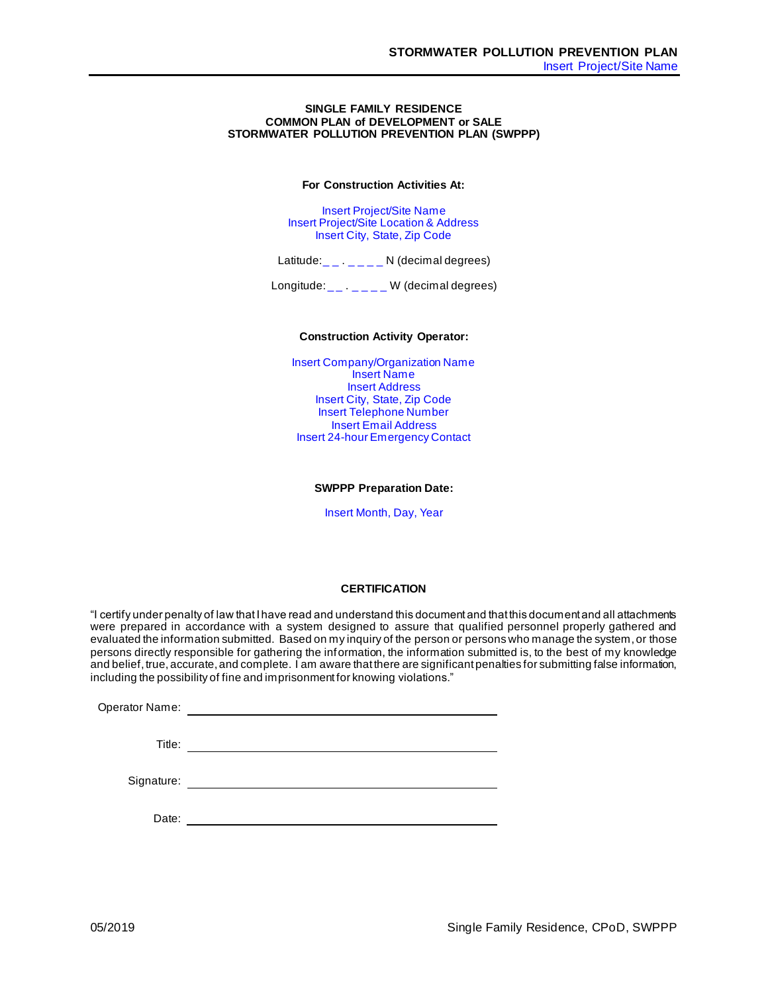## **SINGLE FAMILY RESIDENCE COMMON PLAN of DEVELOPMENT or SALE STORMWATER POLLUTION PREVENTION PLAN (SWPPP)**

**For Construction Activities At:**

Insert Project/Site Name Insert Project/Site Location & Address Insert City, State, Zip Code

Latitude:  $\_ \_ \_ \_ \_ \_ \_ \_ \_ N$  (decimal degrees)

Longitude:  $\frac{1}{2}$ ,  $\frac{1}{2}$  W (decimal degrees)

## **Construction Activity Operator:**

Insert Company/Organization Name Insert Name Insert Address Insert City, State, Zip Code Insert Telephone Number Insert Email Address Insert 24-hour Emergency Contact

### **SWPPP Preparation Date:**

Insert Month, Day, Year

## **CERTIFICATION**

"I certify under penalty of law that I have read and understand this document and that this document and all attachments were prepared in accordance with a system designed to assure that qualified personnel properly gathered and evaluated the information submitted. Based on my inquiry of the person or persons who manage the system, or those persons directly responsible for gathering the information, the information submitted is, to the best of my knowledge and belief, true, accurate, and complete. I am aware that there are significant penalties for submitting false information, including the possibility of fine and imprisonment for knowing violations."

Operator Name: Title:

Signature:

Date: **Date: Date: Date: Date: Date: Date: Date: Date: Date: Date: Date: Date: Date: Date: Date: Date: Date: Date: Date: Date: Date: Date: Date: Date: Date: Date: Date:**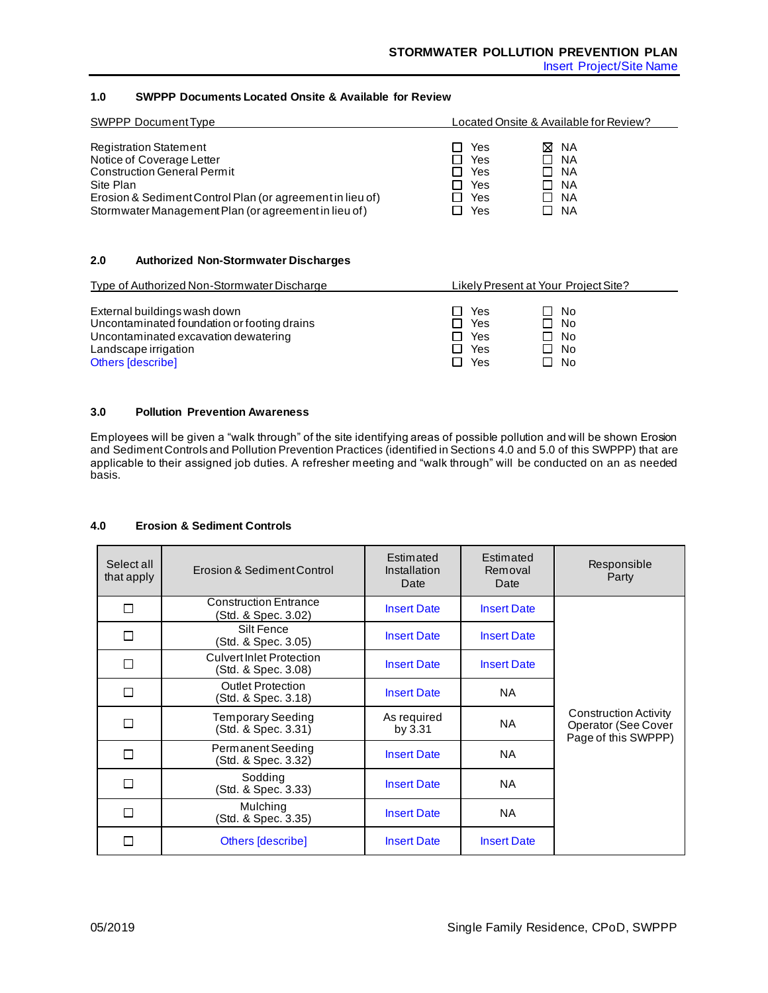Insert Project/Site Name

# **1.0 SWPPP Documents Located Onsite & Available for Review**

| SWPPP Document Type                                                                                                                                                                                                                | Located Onsite & Available for Review?                                           |                                                                                                  |  |
|------------------------------------------------------------------------------------------------------------------------------------------------------------------------------------------------------------------------------------|----------------------------------------------------------------------------------|--------------------------------------------------------------------------------------------------|--|
| <b>Registration Statement</b><br>Notice of Coverage Letter<br><b>Construction General Permit</b><br>Site Plan<br>Erosion & Sediment Control Plan (or agreement in lieu of)<br>Stormwater Management Plan (or agreement in lieu of) | Yes<br>LΙ<br>Yes<br>H<br>Yes<br>l I<br>Yes<br>ΙI<br>Yes<br>$\blacksquare$<br>Yes | M NA<br>- NA<br>$\blacksquare$<br>- NA<br>$\blacksquare$<br>NA.<br>NA.<br>$\blacksquare$<br>- NA |  |

## **2.0 Authorized Non-Stormwater Discharges**

| Type of Authorized Non-Stormwater Discharge                                                                                                                             |                                                    | Likely Present at Your Project Site? |
|-------------------------------------------------------------------------------------------------------------------------------------------------------------------------|----------------------------------------------------|--------------------------------------|
| External buildings wash down<br>Uncontaminated foundation or footing drains<br>Uncontaminated excavation dewatering<br>Landscape irrigation<br><b>Others [describe]</b> | Yes<br>1 I<br>Yes<br>Yes<br>LΙ<br>Yes<br>Yes<br>ΙI | - No<br>No<br>No<br>No<br>No         |

## **3.0 Pollution Prevention Awareness**

Employees will be given a "walk through" of the site identifying areas of possible pollution and will be shown Erosion and Sediment Controls and Pollution Prevention Practices (identified in Sections 4.0 and 5.0 of this SWPPP) that are applicable to their assigned job duties. A refresher meeting and "walk through" will be conducted on an as needed basis.

## **4.0 Erosion & Sediment Controls**

| Select all<br>that apply | Erosion & Sediment Control                             | Estimated<br>Installation<br>Date | Estimated<br>Removal<br>Date | Responsible<br>Party                                                       |
|--------------------------|--------------------------------------------------------|-----------------------------------|------------------------------|----------------------------------------------------------------------------|
| П                        | <b>Construction Entrance</b><br>Std. & Spec. 3.02)     | <b>Insert Date</b>                | <b>Insert Date</b>           |                                                                            |
| П                        | Silt Fence<br>(Std. & Spec. 3.05)                      | <b>Insert Date</b>                | <b>Insert Date</b>           |                                                                            |
| П                        | <b>Culvert Inlet Protection</b><br>(Std. & Spec. 3.08) | <b>Insert Date</b>                | <b>Insert Date</b>           |                                                                            |
| П                        | <b>Outlet Protection</b><br>Std. & Spec. 3.18)         | <b>Insert Date</b>                | NA.                          |                                                                            |
| П                        | <b>Temporary Seeding</b><br>(Std. & Spec. 3.31)        | As required<br>by 3.31            | <b>NA</b>                    | <b>Construction Activity</b><br>Operator (See Cover<br>Page of this SWPPP) |
| П                        | Permanent Seeding<br>(Std. & Spec. 3.32)               | <b>Insert Date</b>                | NA.                          |                                                                            |
| П                        | Sodding<br>(Std. & Spec. 3.33)                         | <b>Insert Date</b>                | NA.                          |                                                                            |
| П                        | Mulching<br>(Std. & Spec. 3.35)                        | <b>Insert Date</b>                | <b>NA</b>                    |                                                                            |
| П                        | Others [describe]                                      | <b>Insert Date</b>                | <b>Insert Date</b>           |                                                                            |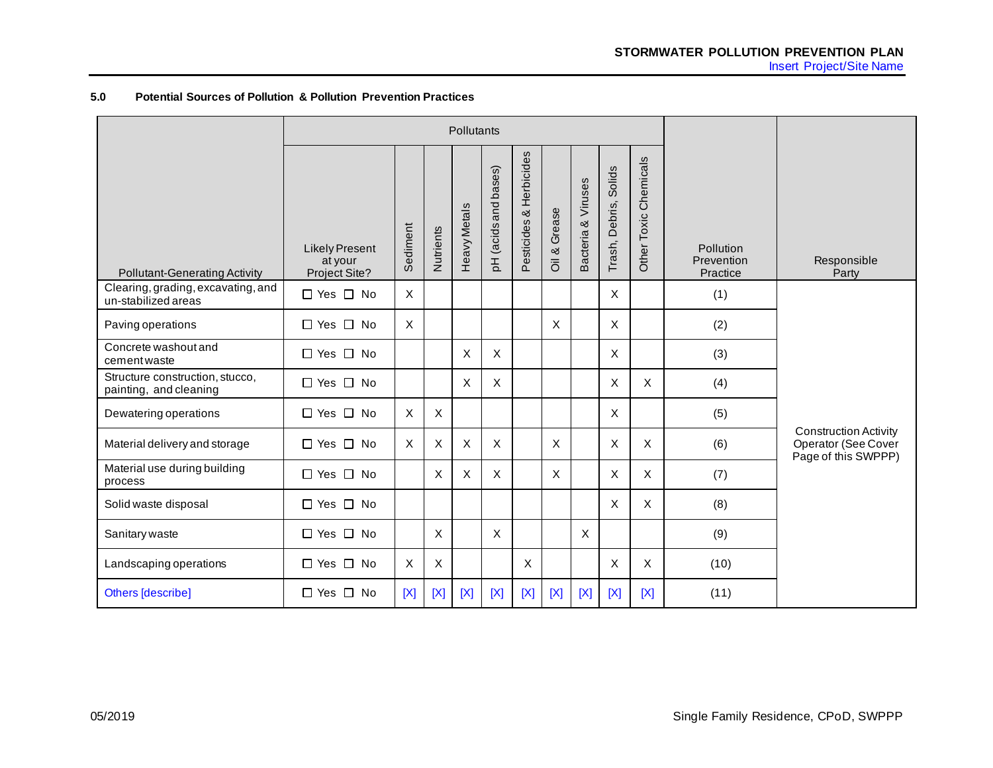# **5.0 Potential Sources of Pollution & Pollution Prevention Practices**

|                                                           | Pollutants                                        |             |           |                     |                           |                         |                           |                    |                          |                       |                                     |                                                                            |
|-----------------------------------------------------------|---------------------------------------------------|-------------|-----------|---------------------|---------------------------|-------------------------|---------------------------|--------------------|--------------------------|-----------------------|-------------------------------------|----------------------------------------------------------------------------|
| <b>Pollutant-Generating Activity</b>                      | <b>Likely Present</b><br>at your<br>Project Site? | Sediment    | Nutrients | <b>Heavy Metals</b> | pH (acids and bases)      | Pesticides & Herbicides | Grease<br>$\frac{8}{2}$   | Bacteria & Viruses | Solids<br>Trash, Debris, | Other Toxic Chemicals | Pollution<br>Prevention<br>Practice | Responsible<br>Party                                                       |
| Clearing, grading, excavating, and<br>un-stabilized areas | $\Box$ Yes $\Box$ No                              | $\times$    |           |                     |                           |                         |                           |                    | X                        |                       | (1)                                 |                                                                            |
| Paving operations                                         | $\Box$ Yes $\Box$ No                              | X           |           |                     |                           |                         | $\mathsf{X}$              |                    | X                        |                       | (2)                                 |                                                                            |
| Concrete washout and<br>cement waste                      | $\Box$ Yes $\Box$ No                              |             |           | X                   | $\boldsymbol{\mathsf{X}}$ |                         |                           |                    | X                        |                       | (3)                                 |                                                                            |
| Structure construction, stucco,<br>painting, and cleaning | $\Box$ Yes $\Box$ No                              |             |           | X                   | X                         |                         |                           |                    | X                        | X                     | (4)                                 |                                                                            |
| Dewatering operations                                     | $\Box$ Yes $\Box$ No                              | $\times$    | $\times$  |                     |                           |                         |                           |                    | X                        |                       | (5)                                 |                                                                            |
| Material delivery and storage                             | $\Box$ Yes $\Box$ No                              | X           | X         | X                   | $\boldsymbol{\mathsf{X}}$ |                         | $\boldsymbol{\mathsf{X}}$ |                    | X                        | $\pmb{\times}$        | (6)                                 | <b>Construction Activity</b><br>Operator (See Cover<br>Page of this SWPPP) |
| Material use during building<br>process                   | $\Box$ Yes $\Box$ No                              |             | X         | X                   | $\boldsymbol{\mathsf{X}}$ |                         | X                         |                    | X                        | X                     | (7)                                 |                                                                            |
| Solid waste disposal                                      | $\Box$ Yes $\Box$ No                              |             |           |                     |                           |                         |                           |                    | X                        | X                     | (8)                                 |                                                                            |
| Sanitary waste                                            | $\Box$ Yes $\Box$ No                              |             | X         |                     | $\times$                  |                         |                           | $\times$           |                          |                       | (9)                                 |                                                                            |
| Landscaping operations                                    | $\Box$ Yes $\Box$ No                              | X           | X         |                     |                           | X                       |                           |                    | X                        | X                     | (10)                                |                                                                            |
| <b>Others [describe]</b>                                  | $\Box$ Yes $\Box$ No                              | $[{\sf X}]$ | [X]       | [X]                 | [X]                       | [X]                     | [X]                       | $[{\sf X}]$        | [X]                      | [X]                   | (11)                                |                                                                            |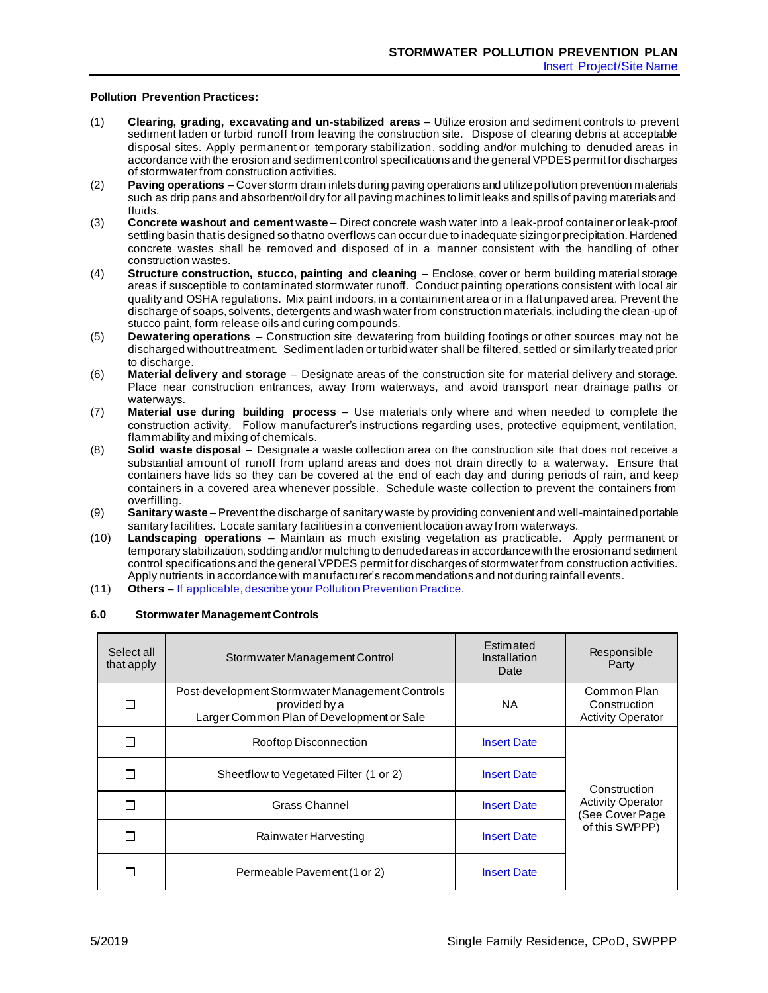## **Pollution Prevention Practices:**

- (1) **Clearing, grading, excavating and un-stabilized areas**  Utilize erosion and sediment controls to prevent sediment laden or turbid runoff from leaving the construction site. Dispose of clearing debris at acceptable disposal sites. Apply permanent or temporary stabilization, sodding and/or mulching to denuded areas in accordance with the erosion and sediment control specifications and the general VPDES permit for discharges of stormwater from construction activities.
- (2) **Paving operations** Cover storm drain inlets during paving operations and utilize pollution prevention materials such as drip pans and absorbent/oil dry for all paving machines to limit leaks and spills of paving materials and fluids.
- (3) **Concrete washout and cement waste** Direct concrete wash water into a leak-proof container or leak-proof settling basin that is designed so that no overflows can occur due to inadequate sizing or precipitation. Hardened concrete wastes shall be removed and disposed of in a manner consistent with the handling of other construction wastes.
- (4) **Structure construction, stucco, painting and cleaning** Enclose, cover or berm building material storage areas if susceptible to contaminated stormwater runoff. Conduct painting operations consistent with local air quality and OSHA regulations. Mix paint indoors, in a containment area or in a flat unpaved area. Prevent the discharge of soaps, solvents, detergents and wash water from construction materials, including the clean -up of stucco paint, form release oils and curing compounds.
- (5) **Dewatering operations**  Construction site dewatering from building footings or other sources may not be discharged without treatment. Sediment laden or turbid water shall be filtered, settled or similarly treated prior to discharge.
- (6) **Material delivery and storage** Designate areas of the construction site for material delivery and storage. Place near construction entrances, away from waterways, and avoid transport near drainage paths or waterways.
- (7) **Material use during building process** Use materials only where and when needed to complete the construction activity. Follow manufacturer's instructions regarding uses, protective equipment, ventilation, flammability and mixing of chemicals.
- (8) **Solid waste disposal** Designate a waste collection area on the construction site that does not receive a substantial amount of runoff from upland areas and does not drain directly to a waterwa y. Ensure that containers have lids so they can be covered at the end of each day and during periods of rain, and keep containers in a covered area whenever possible. Schedule waste collection to prevent the containers from overfilling.
- (9) **Sanitary waste** Prevent the discharge of sanitary waste by providing convenient and well-maintained portable sanitary facilities. Locate sanitary facilities in a convenient location away from waterways.
- (10) **Landscaping operations**  Maintain as much existing vegetation as practicable. Apply permanent or temporary stabilization, sodding and/or mulching to denuded areas in accordance with the erosion and sediment control specifications and the general VPDES permit for discharges of stormwater from construction activities. Apply nutrients in accordance with manufacturer's recommendations and not during rainfall events.
- (11) **Others** If applicable, describe your Pollution Prevention Practice.

## **6.0 Stormwater Management Controls**

| Select all<br>that apply | Stormwater Management Control                                                                                 | Estimated<br>Installation<br>Date | Responsible<br>Party                                    |
|--------------------------|---------------------------------------------------------------------------------------------------------------|-----------------------------------|---------------------------------------------------------|
| П                        | Post-development Stormwater Management Controls<br>provided by a<br>Larger Common Plan of Development or Sale | NA                                | Common Plan<br>Construction<br><b>Activity Operator</b> |
| П                        | <b>Rooftop Disconnection</b>                                                                                  | <b>Insert Date</b>                |                                                         |
| П                        | Sheetflow to Vegetated Filter (1 or 2)                                                                        | <b>Insert Date</b>                | Construction                                            |
| П                        | Grass Channel                                                                                                 | <b>Insert Date</b>                | <b>Activity Operator</b><br>(See Cover Page             |
| П                        | Rainwater Harvesting                                                                                          | <b>Insert Date</b>                | of this SWPPP)                                          |
| П                        | Permeable Pavement (1 or 2)                                                                                   | <b>Insert Date</b>                |                                                         |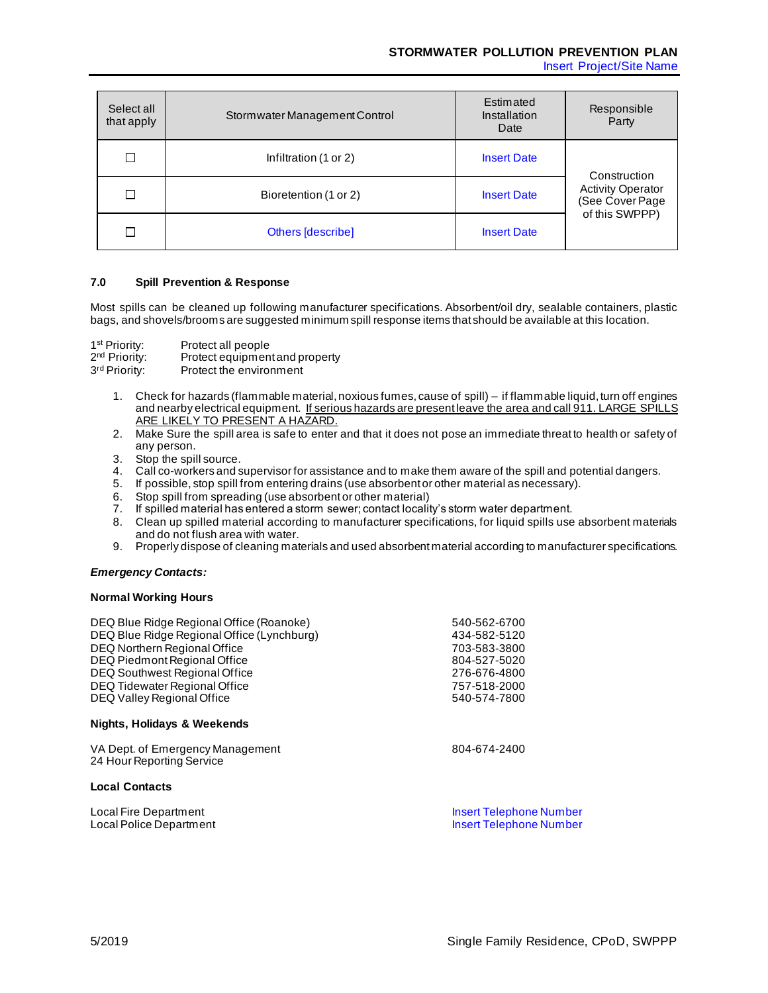# **STORMWATER POLLUTION PREVENTION PLAN**

Insert Project/Site Name

| Select all<br>that apply | Stormwater Management Control | Estimated<br>Installation<br>Date | Responsible<br>Party                        |
|--------------------------|-------------------------------|-----------------------------------|---------------------------------------------|
|                          | Infiltration (1 or 2)         | <b>Insert Date</b>                | Construction                                |
| П                        | Bioretention (1 or 2)         | <b>Insert Date</b>                | <b>Activity Operator</b><br>(See Cover Page |
|                          | Others [describe]             | <b>Insert Date</b>                | of this SWPPP)                              |

## **7.0 Spill Prevention & Response**

Most spills can be cleaned up following manufacturer specifications. Absorbent/oil dry, sealable containers, plastic bags, and shovels/brooms are suggested minimum spill response items that should be available at this location.

1<sup>st</sup> Priority: Protect all people  $2<sup>nd</sup>$  Priority: Protect equipment and property 3<sup>rd</sup> Priority: Protect the environment

- 1. Check for hazards (flammable material, noxious fumes, cause of spill) if flammable liquid, turn off engines and nearby electrical equipment. If serious hazards are present leave the area and call 911. LARGE SPILLS ARE LIKELY TO PRESENT A HAZARD.
- 2. Make Sure the spill area is safe to enter and that it does not pose an immediate threat to health or safety of any person.
- 3. Stop the spill source.
- 4. Call co-workers and supervisor for assistance and to make them aware of the spill and potential dangers.
- 5. If possible, stop spill from entering drains (use absorbent or other material as necessary).
- 6. Stop spill from spreading (use absorbent or other material)
- 7. If spilled material has entered a storm sewer; contact locality's storm water department.
- 8. Clean up spilled material according to manufacturer specifications, for liquid spills use absorbent materials and do not flush area with water.
- 9. Properly dispose of cleaning materials and used absorbent material according to manufacturer specifications.

# *Emergency Contacts:*

## **Normal Working Hours**

| DEQ Blue Ridge Regional Office (Roanoke)                      | 540-562-6700                   |
|---------------------------------------------------------------|--------------------------------|
| DEQ Blue Ridge Regional Office (Lynchburg)                    | 434-582-5120                   |
| DEQ Northern Regional Office                                  | 703-583-3800                   |
| DEQ Piedmont Regional Office                                  | 804-527-5020                   |
| DEQ Southwest Regional Office                                 | 276-676-4800                   |
| DEQ Tidewater Regional Office                                 | 757-518-2000                   |
| DEQ Valley Regional Office                                    | 540-574-7800                   |
| Nights, Holidays & Weekends                                   |                                |
| VA Dept. of Emergency Management<br>24 Hour Reporting Service | 804-674-2400                   |
| <b>Local Contacts</b>                                         |                                |
| Local Fire Department                                         | <b>Insert Telephone Number</b> |
| Local Police Department                                       | <b>Insert Telephone Number</b> |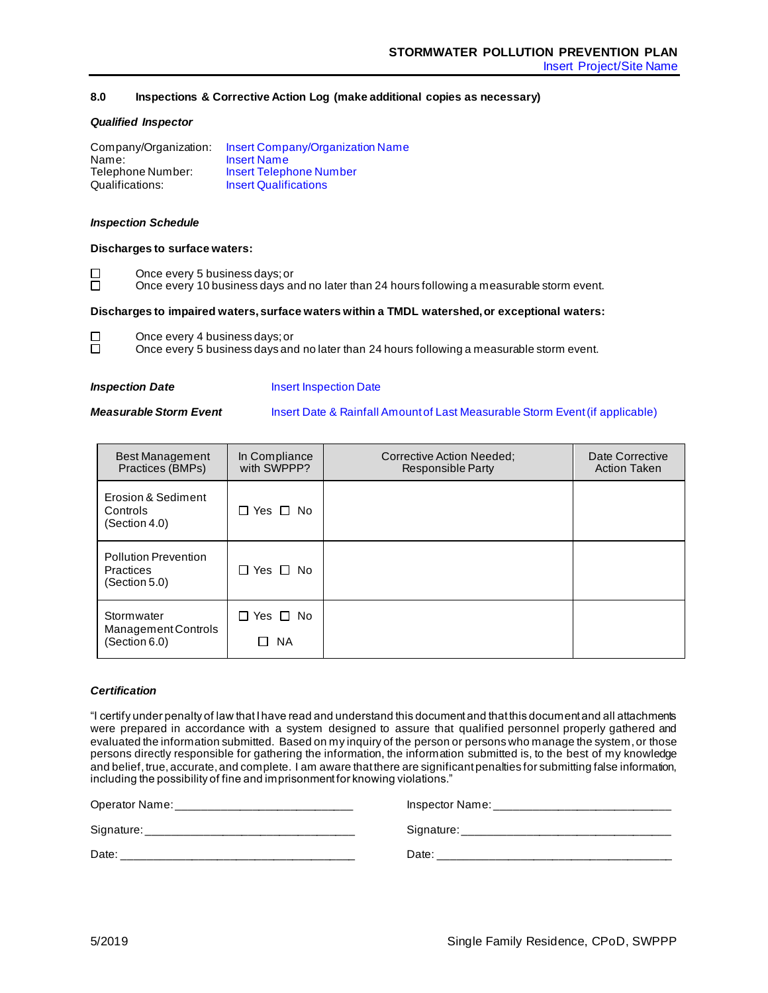# **8.0 Inspections & Corrective Action Log (make additional copies as necessary)**

## *Qualified Inspector*

| Company/Organization: | <b>Insert Company/Organization Name</b> |
|-----------------------|-----------------------------------------|
| Name:                 | <b>Insert Name</b>                      |
| Telephone Number:     | <b>Insert Telephone Number</b>          |
| Qualifications:       | <b>Insert Qualifications</b>            |

## *Inspection Schedule*

## **Discharges to surface waters:**

Once every 5 business days; or

Once every 10 business days and no later than 24 hours following a measurable storm event.

## **Discharges to impaired waters, surface waters within a TMDL watershed, or exceptional waters:**

 $\Box$ Once every 4 business days; or ñ

Once every 5 business days and no later than 24 hours following a measurable storm event.

 $\Box$  $\Box$ 

**Inspection Date Insert Inspection Date** 

**Measurable Storm Event** Insert Date & Rainfall Amount of Last Measurable Storm Event (if applicable)

| <b>Best Management</b><br>Practices (BMPs)                       | In Compliance<br>with SWPPP?                      | Corrective Action Needed:<br><b>Responsible Party</b> | Date Corrective<br><b>Action Taken</b> |
|------------------------------------------------------------------|---------------------------------------------------|-------------------------------------------------------|----------------------------------------|
| Erosion & Sediment<br>Controls<br>(Section 4.0)                  | $\Box$ Yes $\Box$ No                              |                                                       |                                        |
| <b>Pollution Prevention</b><br><b>Practices</b><br>(Section 5.0) | $\Box$ Yes $\Box$ No                              |                                                       |                                        |
| Stormwater<br>Management Controls<br>(Section 6.0)               | $\Box$ Yes $\Box$ No<br><b>NA</b><br>$\mathsf{L}$ |                                                       |                                        |

## *Certification*

"I certify under penalty of law that I have read and understand this document and that this document and all attachments were prepared in accordance with a system designed to assure that qualified personnel properly gathered and evaluated the information submitted. Based on my inquiry of the person or persons who manage the system, or those persons directly responsible for gathering the information, the information submitted is, to the best of my knowledge and belief, true, accurate, and complete. I am aware that there are significant penalties for submitting false information, including the possibility of fine and imprisonment for knowing violations."

| Operator Name: |  |
|----------------|--|
|----------------|--|

Signature: \_\_\_\_\_\_\_\_\_\_\_\_\_\_\_\_\_\_\_\_\_\_\_\_\_\_\_\_\_\_\_\_\_ Signature: \_\_\_\_\_\_\_\_\_\_\_\_\_\_\_\_\_\_\_\_\_\_\_\_\_\_\_\_\_\_\_\_\_

Date: \_\_\_\_\_\_\_\_\_\_\_\_\_\_\_\_\_\_\_\_\_\_\_\_\_\_\_\_\_\_\_\_\_\_\_\_\_ Date: \_\_\_\_\_\_\_\_\_\_\_\_\_\_\_\_\_\_\_\_\_\_\_\_\_\_\_\_\_\_\_\_\_\_\_\_\_

Operator Name: \_\_\_\_\_\_\_\_\_\_\_\_\_\_\_\_\_\_\_\_\_\_\_\_\_\_\_\_ Inspector Name: \_\_\_\_\_\_\_\_\_\_\_\_\_\_\_\_\_\_\_\_\_\_\_\_\_\_\_\_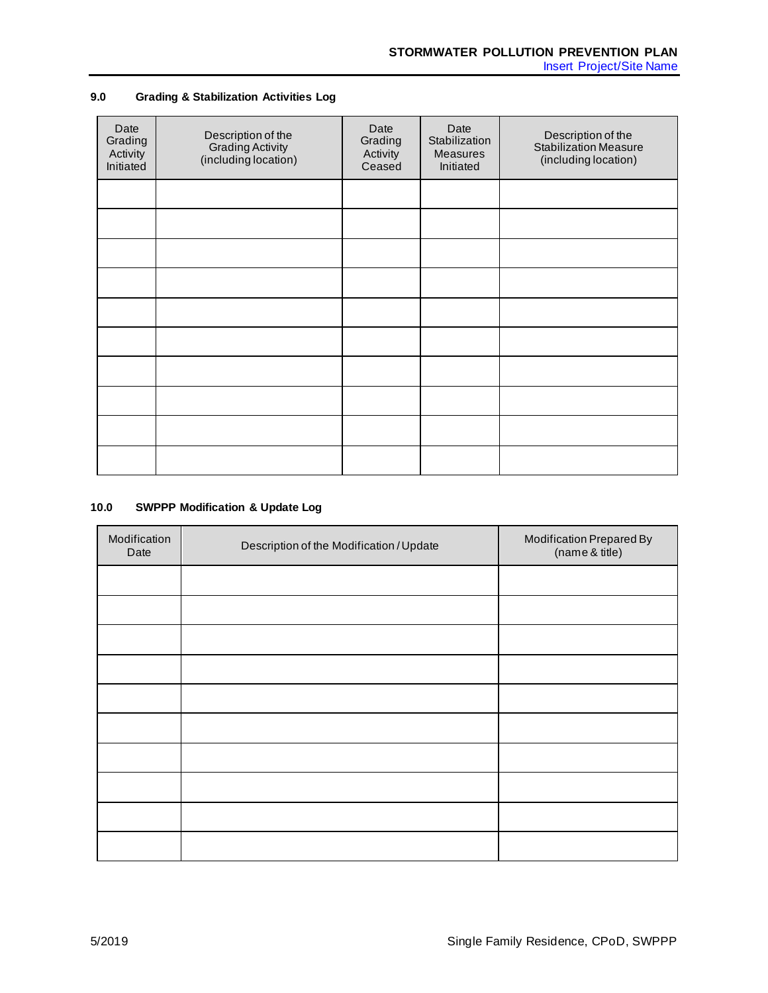# **9.0 Grading & Stabilization Activities Log**

| Date<br>Grading<br>Activity<br>Initiated | Description of the<br><b>Grading Activity</b><br>(including location) | Date<br>Grading<br>Activity<br>Ceased | Date<br>Stabilization<br><b>Measures</b><br>Initiated | Description of the<br><b>Stabilization Measure</b><br>(including location) |
|------------------------------------------|-----------------------------------------------------------------------|---------------------------------------|-------------------------------------------------------|----------------------------------------------------------------------------|
|                                          |                                                                       |                                       |                                                       |                                                                            |
|                                          |                                                                       |                                       |                                                       |                                                                            |
|                                          |                                                                       |                                       |                                                       |                                                                            |
|                                          |                                                                       |                                       |                                                       |                                                                            |
|                                          |                                                                       |                                       |                                                       |                                                                            |
|                                          |                                                                       |                                       |                                                       |                                                                            |
|                                          |                                                                       |                                       |                                                       |                                                                            |
|                                          |                                                                       |                                       |                                                       |                                                                            |
|                                          |                                                                       |                                       |                                                       |                                                                            |
|                                          |                                                                       |                                       |                                                       |                                                                            |

# **10.0 SWPPP Modification & Update Log**

| Modification<br>Date | Description of the Modification / Update | Modification Prepared By<br>(name & title) |
|----------------------|------------------------------------------|--------------------------------------------|
|                      |                                          |                                            |
|                      |                                          |                                            |
|                      |                                          |                                            |
|                      |                                          |                                            |
|                      |                                          |                                            |
|                      |                                          |                                            |
|                      |                                          |                                            |
|                      |                                          |                                            |
|                      |                                          |                                            |
|                      |                                          |                                            |